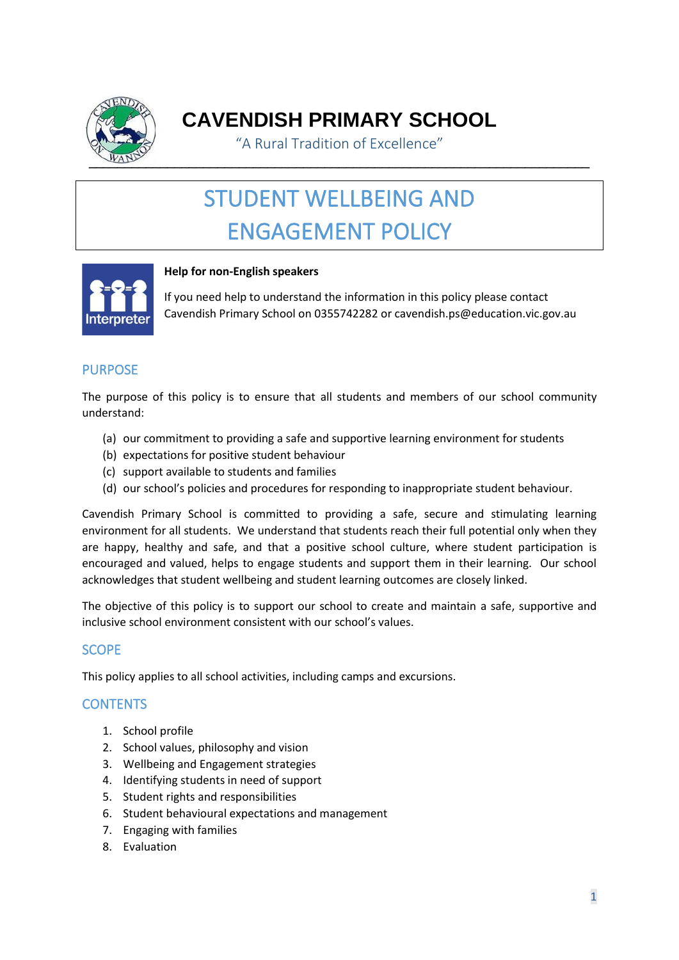

# **CAVENDISH PRIMARY SCHOOL**

"A Rural Tradition of Excellence"

# STUDENT WELLBEING AND ENGAGEMENT POLICY



#### **Help for non-English speakers**

If you need help to understand the information in this policy please contact Cavendish Primary School on 0355742282 or cavendish.ps@education.vic.gov.au

#### PURPOSE

The purpose of this policy is to ensure that all students and members of our school community understand:

- (a) our commitment to providing a safe and supportive learning environment for students
- (b) expectations for positive student behaviour
- (c) support available to students and families
- (d) our school's policies and procedures for responding to inappropriate student behaviour.

Cavendish Primary School is committed to providing a safe, secure and stimulating learning environment for all students. We understand that students reach their full potential only when they are happy, healthy and safe, and that a positive school culture, where student participation is encouraged and valued, helps to engage students and support them in their learning. Our school acknowledges that student wellbeing and student learning outcomes are closely linked.

The objective of this policy is to support our school to create and maintain a safe, supportive and inclusive school environment consistent with our school's values.

# **SCOPE**

This policy applies to all school activities, including camps and excursions.

# **CONTENTS**

- 1. School profile
- 2. School values, philosophy and vision
- 3. Wellbeing and Engagement strategies
- 4. Identifying students in need of support
- 5. Student rights and responsibilities
- 6. Student behavioural expectations and management
- 7. Engaging with families
- 8. Evaluation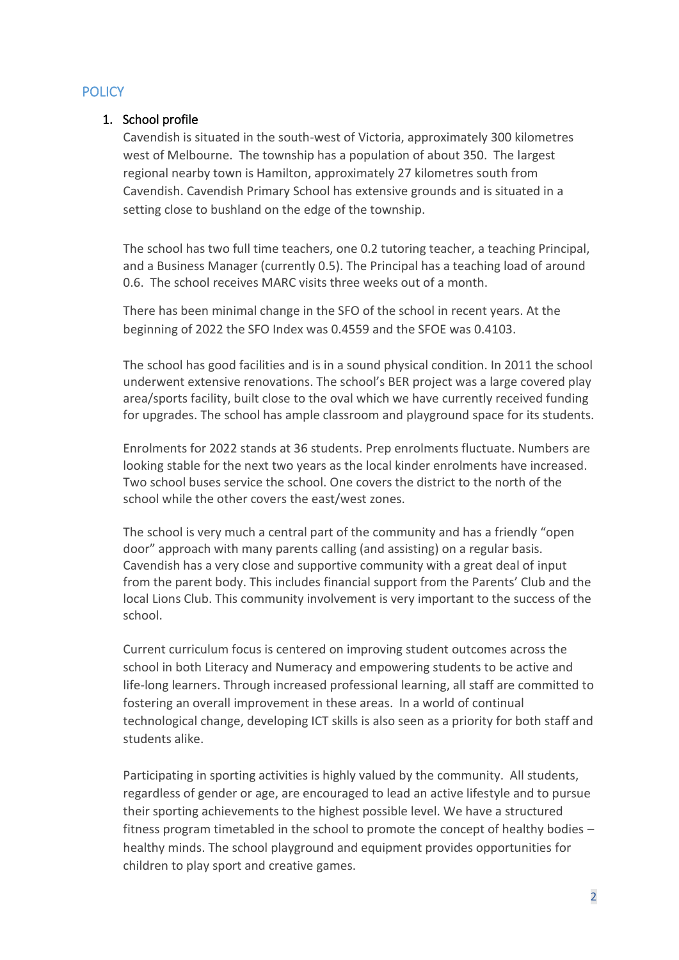# **POLICY**

#### 1. School profile

Cavendish is situated in the south-west of Victoria, approximately 300 kilometres west of Melbourne. The township has a population of about 350. The largest regional nearby town is Hamilton, approximately 27 kilometres south from Cavendish. Cavendish Primary School has extensive grounds and is situated in a setting close to bushland on the edge of the township.

The school has two full time teachers, one 0.2 tutoring teacher, a teaching Principal, and a Business Manager (currently 0.5). The Principal has a teaching load of around 0.6. The school receives MARC visits three weeks out of a month.

There has been minimal change in the SFO of the school in recent years. At the beginning of 2022 the SFO Index was 0.4559 and the SFOE was 0.4103.

The school has good facilities and is in a sound physical condition. In 2011 the school underwent extensive renovations. The school's BER project was a large covered play area/sports facility, built close to the oval which we have currently received funding for upgrades. The school has ample classroom and playground space for its students.

Enrolments for 2022 stands at 36 students. Prep enrolments fluctuate. Numbers are looking stable for the next two years as the local kinder enrolments have increased. Two school buses service the school. One covers the district to the north of the school while the other covers the east/west zones.

The school is very much a central part of the community and has a friendly "open door" approach with many parents calling (and assisting) on a regular basis. Cavendish has a very close and supportive community with a great deal of input from the parent body. This includes financial support from the Parents' Club and the local Lions Club. This community involvement is very important to the success of the school.

Current curriculum focus is centered on improving student outcomes across the school in both Literacy and Numeracy and empowering students to be active and life-long learners. Through increased professional learning, all staff are committed to fostering an overall improvement in these areas. In a world of continual technological change, developing ICT skills is also seen as a priority for both staff and students alike.

Participating in sporting activities is highly valued by the community. All students, regardless of gender or age, are encouraged to lead an active lifestyle and to pursue their sporting achievements to the highest possible level. We have a structured fitness program timetabled in the school to promote the concept of healthy bodies – healthy minds. The school playground and equipment provides opportunities for children to play sport and creative games.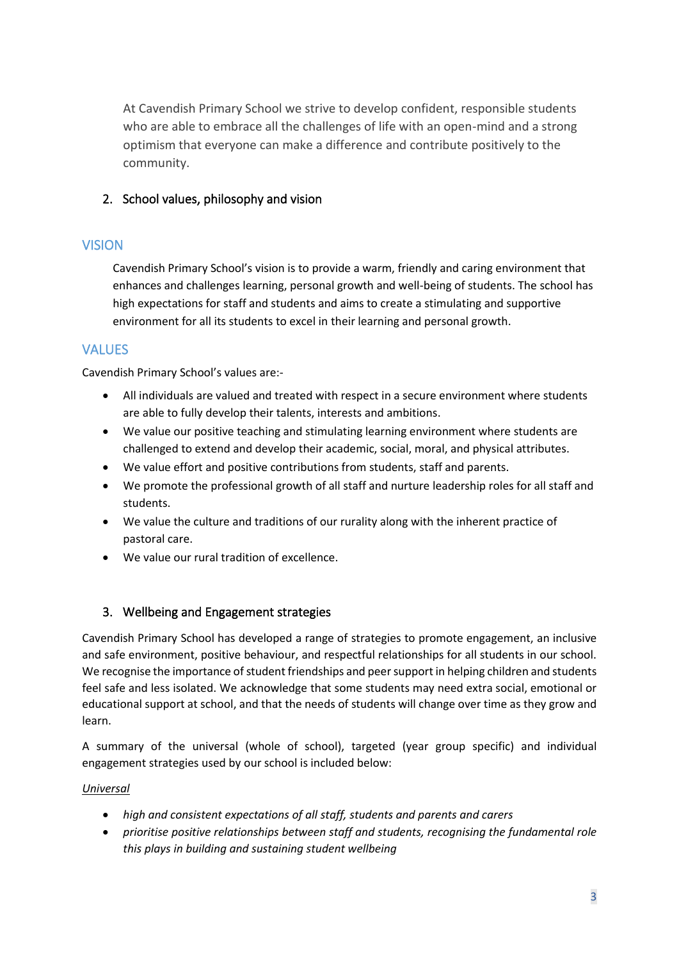At Cavendish Primary School we strive to develop confident, responsible students who are able to embrace all the challenges of life with an open-mind and a strong optimism that everyone can make a difference and contribute positively to the community.

### 2. School values, philosophy and vision

# VISION

Cavendish Primary School's vision is to provide a warm, friendly and caring environment that enhances and challenges learning, personal growth and well-being of students. The school has high expectations for staff and students and aims to create a stimulating and supportive environment for all its students to excel in their learning and personal growth.

### VALUES

Cavendish Primary School's values are:-

- All individuals are valued and treated with respect in a secure environment where students are able to fully develop their talents, interests and ambitions.
- We value our positive teaching and stimulating learning environment where students are challenged to extend and develop their academic, social, moral, and physical attributes.
- We value effort and positive contributions from students, staff and parents.
- We promote the professional growth of all staff and nurture leadership roles for all staff and students.
- We value the culture and traditions of our rurality along with the inherent practice of pastoral care.
- We value our rural tradition of excellence.

#### 3. Wellbeing and Engagement strategies

Cavendish Primary School has developed a range of strategies to promote engagement, an inclusive and safe environment, positive behaviour, and respectful relationships for all students in our school. We recognise the importance of student friendships and peer support in helping children and students feel safe and less isolated. We acknowledge that some students may need extra social, emotional or educational support at school, and that the needs of students will change over time as they grow and learn.

A summary of the universal (whole of school), targeted (year group specific) and individual engagement strategies used by our school is included below:

#### *Universal*

- *high and consistent expectations of all staff, students and parents and carers*
- *prioritise positive relationships between staff and students, recognising the fundamental role this plays in building and sustaining student wellbeing*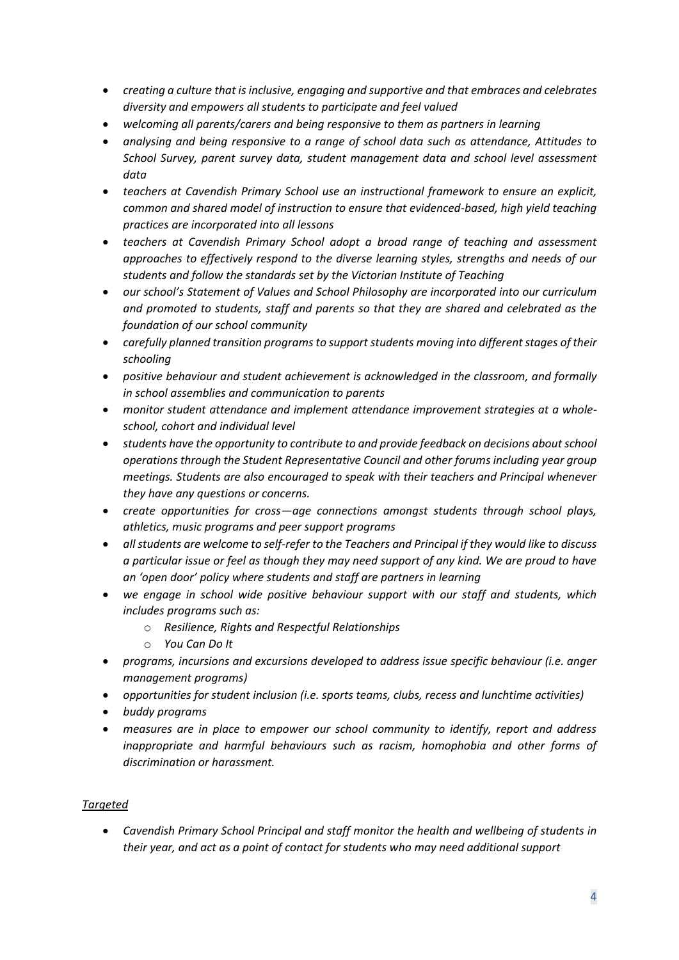- *creating a culture that is inclusive, engaging and supportive and that embraces and celebrates diversity and empowers all students to participate and feel valued*
- *welcoming all parents/carers and being responsive to them as partners in learning*
- *analysing and being responsive to a range of school data such as attendance, Attitudes to School Survey, parent survey data, student management data and school level assessment data*
- *teachers at Cavendish Primary School use an instructional framework to ensure an explicit, common and shared model of instruction to ensure that evidenced-based, high yield teaching practices are incorporated into all lessons*
- *teachers at Cavendish Primary School adopt a broad range of teaching and assessment approaches to effectively respond to the diverse learning styles, strengths and needs of our students and follow the standards set by the Victorian Institute of Teaching*
- *our school's Statement of Values and School Philosophy are incorporated into our curriculum and promoted to students, staff and parents so that they are shared and celebrated as the foundation of our school community*
- *carefully planned transition programs to support students moving into different stages of their schooling*
- *positive behaviour and student achievement is acknowledged in the classroom, and formally in school assemblies and communication to parents*
- *monitor student attendance and implement attendance improvement strategies at a wholeschool, cohort and individual level*
- *students have the opportunity to contribute to and provide feedback on decisions aboutschool operations through the Student Representative Council and other forums including year group meetings. Students are also encouraged to speak with their teachers and Principal whenever they have any questions or concerns.*
- *create opportunities for cross—age connections amongst students through school plays, athletics, music programs and peer support programs*
- *all students are welcome to self-refer to the Teachers and Principal if they would like to discuss a particular issue or feel as though they may need support of any kind. We are proud to have an 'open door' policy where students and staff are partners in learning*
- *we engage in school wide positive behaviour support with our staff and students, which includes programs such as:*
	- o *Resilience, Rights and Respectful Relationships*
	- o *You Can Do It*
- *programs, incursions and excursions developed to address issue specific behaviour (i.e. anger management programs)*
- *opportunities for student inclusion (i.e. sports teams, clubs, recess and lunchtime activities)*
- *buddy programs*
- *measures are in place to empower our school community to identify, report and address inappropriate and harmful behaviours such as racism, homophobia and other forms of discrimination or harassment.*

#### *Targeted*

• *Cavendish Primary School Principal and staff monitor the health and wellbeing of students in their year, and act as a point of contact for students who may need additional support*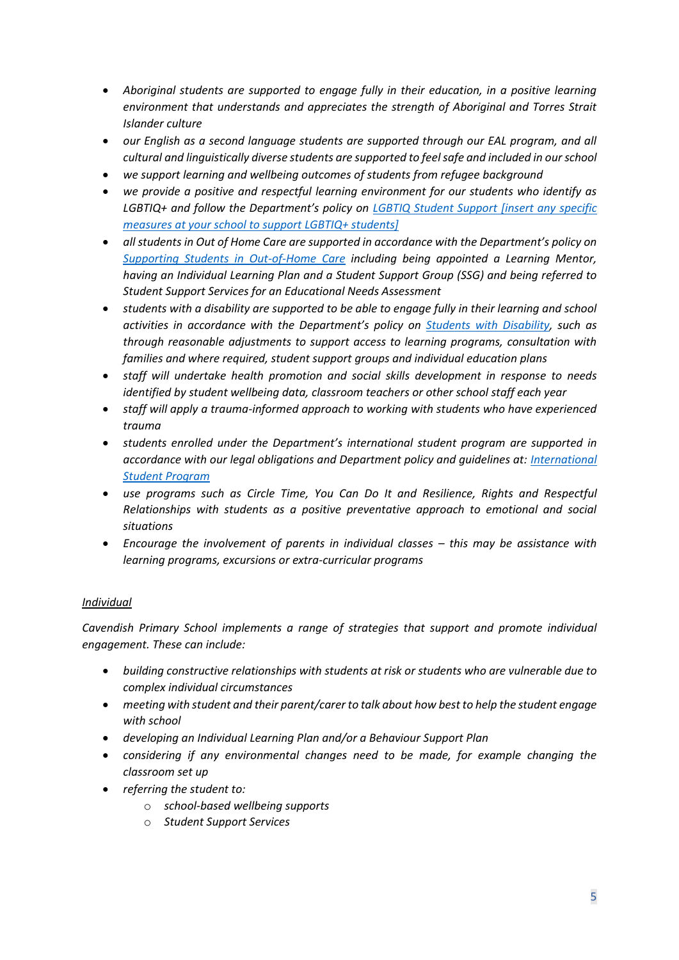- *Aboriginal students are supported to engage fully in their education, in a positive learning environment that understands and appreciates the strength of Aboriginal and Torres Strait Islander culture*
- *our English as a second language students are supported through our EAL program, and all cultural and linguistically diverse students are supported to feel safe and included in our school*
- *we support learning and wellbeing outcomes of students from refugee background*
- *we provide a positive and respectful learning environment for our students who identify as LGBTIQ+ and follow the Department's policy on [LGBTIQ Student Support](https://www2.education.vic.gov.au/pal/lgbtiq-student-support/policy) [insert any specific [measures at your school to support LGBTIQ+ students\]](https://www2.education.vic.gov.au/pal/lgbtiq-student-support/policy)*
- *all students in Out of Home Care are supported in accordance with the Department's policy on [Supporting Students in Out-of-Home Care](https://www2.education.vic.gov.au/pal/supporting-students-out-home-care/policy) including being appointed a Learning Mentor, having an Individual Learning Plan and a Student Support Group (SSG) and being referred to Student Support Services for an Educational Needs Assessment*
- *students with a disability are supported to be able to engage fully in their learning and school activities in accordance with the Department's policy on [Students with Disability,](https://www2.education.vic.gov.au/pal/students-disability/policy) such as through reasonable adjustments to support access to learning programs, consultation with families and where required, student support groups and individual education plans*
- *staff will undertake health promotion and social skills development in response to needs identified by student wellbeing data, classroom teachers or other school staff each year*
- *staff will apply a trauma-informed approach to working with students who have experienced trauma*
- *students enrolled under the Department's international student program are supported in accordance with our legal obligations and Department policy and guidelines at: [International](https://www2.education.vic.gov.au/pal/international-student-program/guidance/supporting-students-learning-and-engagement-section-7)  [Student Program](https://www2.education.vic.gov.au/pal/international-student-program/guidance/supporting-students-learning-and-engagement-section-7)*
- *use programs such as Circle Time, You Can Do It and Resilience, Rights and Respectful Relationships with students as a positive preventative approach to emotional and social situations*
- Encourage the involvement of parents in individual classes this may be assistance with *learning programs, excursions or extra-curricular programs*

#### *Individual*

*Cavendish Primary School implements a range of strategies that support and promote individual engagement. These can include:*

- *building constructive relationships with students at risk or students who are vulnerable due to complex individual circumstances*
- *meeting with student and their parent/carer to talk about how best to help the student engage with school*
- *developing an Individual Learning Plan and/or a Behaviour Support Plan*
- *considering if any environmental changes need to be made, for example changing the classroom set up*
- *referring the student to:*
	- o *school-based wellbeing supports*
	- o *Student Support Services*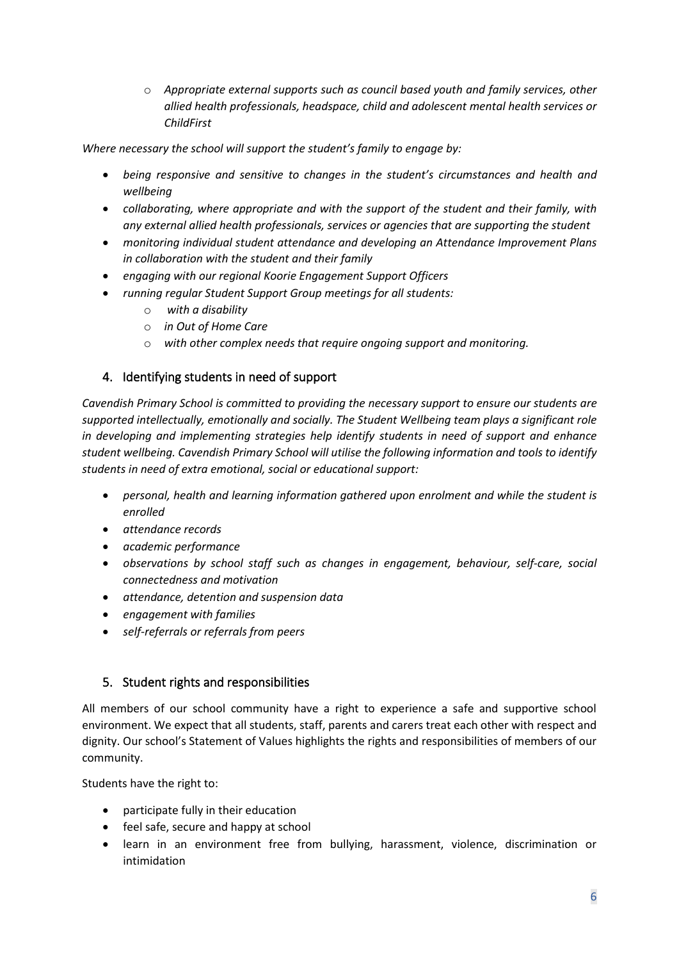o *Appropriate external supports such as council based youth and family services, other allied health professionals, headspace, child and adolescent mental health services or ChildFirst*

*Where necessary the school will support the student's family to engage by:*

- *being responsive and sensitive to changes in the student's circumstances and health and wellbeing*
- *collaborating, where appropriate and with the support of the student and their family, with any external allied health professionals, services or agencies that are supporting the student*
- *monitoring individual student attendance and developing an Attendance Improvement Plans in collaboration with the student and their family*
- *engaging with our regional Koorie Engagement Support Officers*
- *running regular Student Support Group meetings for all students:*
	- o *with a disability*
	- o *in Out of Home Care*
	- o *with other complex needs that require ongoing support and monitoring.*

#### 4. Identifying students in need of support

*Cavendish Primary School is committed to providing the necessary support to ensure our students are supported intellectually, emotionally and socially. The Student Wellbeing team plays a significant role in developing and implementing strategies help identify students in need of support and enhance student wellbeing. Cavendish Primary School will utilise the following information and tools to identify students in need of extra emotional, social or educational support:*

- *personal, health and learning information gathered upon enrolment and while the student is enrolled*
- *attendance records*
- *academic performance*
- *observations by school staff such as changes in engagement, behaviour, self-care, social connectedness and motivation*
- *attendance, detention and suspension data*
- *engagement with families*
- *self-referrals or referrals from peers*

#### 5. Student rights and responsibilities

All members of our school community have a right to experience a safe and supportive school environment. We expect that all students, staff, parents and carers treat each other with respect and dignity. Our school's Statement of Values highlights the rights and responsibilities of members of our community.

Students have the right to:

- participate fully in their education
- feel safe, secure and happy at school
- learn in an environment free from bullying, harassment, violence, discrimination or intimidation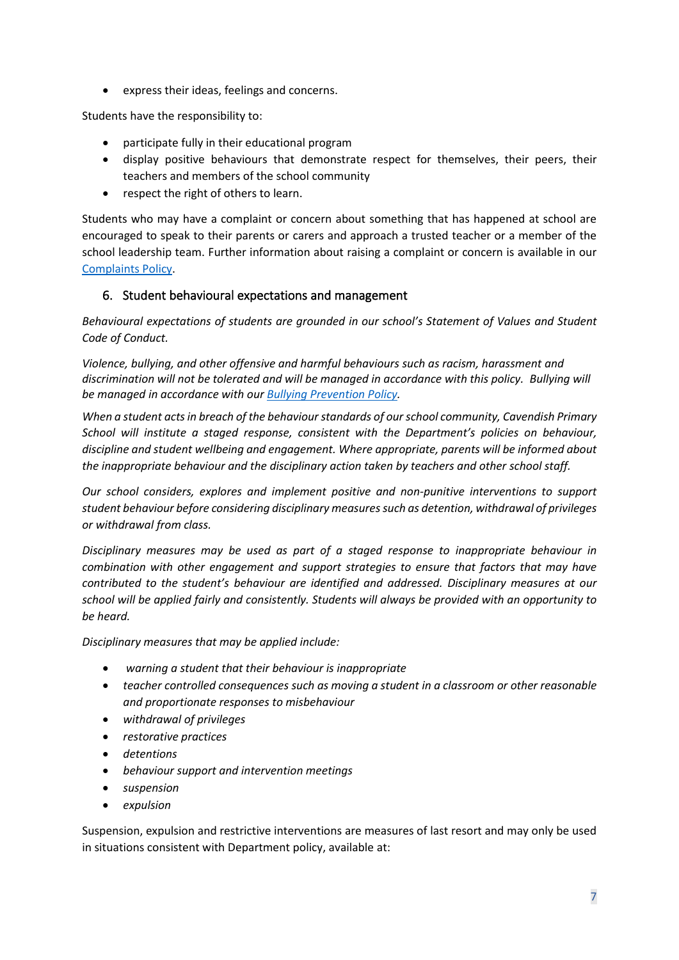• express their ideas, feelings and concerns.

Students have the responsibility to:

- participate fully in their educational program
- display positive behaviours that demonstrate respect for themselves, their peers, their teachers and members of the school community
- respect the right of others to learn.

Students who may have a complaint or concern about something that has happened at school are encouraged to speak to their parents or carers and approach a trusted teacher or a member of the school leadership team. Further information about raising a complaint or concern is available in our [Complaints Policy.](http://cavendishps.vic.edu.au/school-policies/)

#### 6. Student behavioural expectations and management

*Behavioural expectations of students are grounded in our school's Statement of Values and Student Code of Conduct.* 

*Violence, bullying, and other offensive and harmful behaviours such as racism, harassment and discrimination will not be tolerated and will be managed in accordance with this policy. Bullying will be managed in accordance with our [Bullying Prevention Policy.](http://cavendishps.vic.edu.au/school-policies/)* 

*When a student acts in breach of the behaviour standards of our school community, Cavendish Primary School will institute a staged response, consistent with the Department's policies on behaviour, discipline and student wellbeing and engagement. Where appropriate, parents will be informed about the inappropriate behaviour and the disciplinary action taken by teachers and other school staff.* 

*Our school considers, explores and implement positive and non-punitive interventions to support student behaviour before considering disciplinary measures such as detention, withdrawal of privileges or withdrawal from class.*

*Disciplinary measures may be used as part of a staged response to inappropriate behaviour in combination with other engagement and support strategies to ensure that factors that may have contributed to the student's behaviour are identified and addressed. Disciplinary measures at our school will be applied fairly and consistently. Students will always be provided with an opportunity to be heard.* 

*Disciplinary measures that may be applied include:*

- *warning a student that their behaviour is inappropriate*
- *teacher controlled consequences such as moving a student in a classroom or other reasonable and proportionate responses to misbehaviour*
- *withdrawal of privileges*
- *restorative practices*
- *detentions*
- *behaviour support and intervention meetings*
- *suspension*
- *expulsion*

Suspension, expulsion and restrictive interventions are measures of last resort and may only be used in situations consistent with Department policy, available at: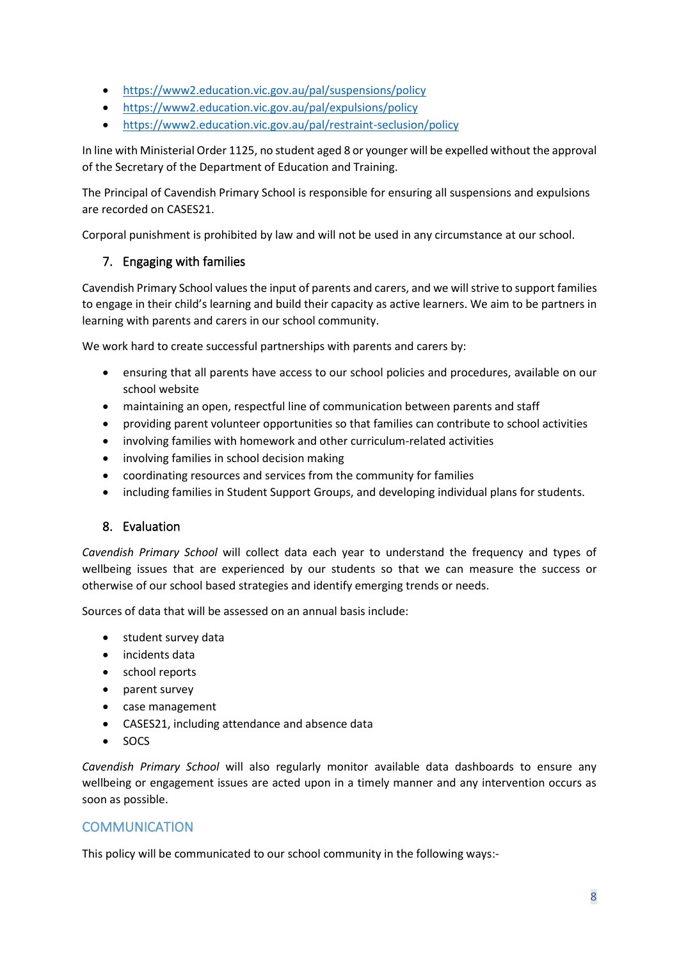- <https://www2.education.vic.gov.au/pal/suspensions/policy>
- <https://www2.education.vic.gov.au/pal/expulsions/policy>
- <https://www2.education.vic.gov.au/pal/restraint-seclusion/policy>

In line with Ministerial Order 1125, no student aged 8 or younger will be expelled without the approval of the Secretary of the Department of Education and Training.

The Principal of Cavendish Primary School is responsible for ensuring all suspensions and expulsions are recorded on CASES21.

Corporal punishment is prohibited by law and will not be used in any circumstance at our school.

#### 7. Engaging with families

Cavendish Primary School values the input of parents and carers, and we will strive to support families to engage in their child's learning and build their capacity as active learners. We aim to be partners in learning with parents and carers in our school community.

We work hard to create successful partnerships with parents and carers by:

- ensuring that all parents have access to our school policies and procedures, available on our school website
- maintaining an open, respectful line of communication between parents and staff
- providing parent volunteer opportunities so that families can contribute to school activities
- involving families with homework and other curriculum-related activities
- involving families in school decision making
- coordinating resources and services from the community for families
- including families in Student Support Groups, and developing individual plans for students.

#### 8. Evaluation

*Cavendish Primary School* will collect data each year to understand the frequency and types of wellbeing issues that are experienced by our students so that we can measure the success or otherwise of our school based strategies and identify emerging trends or needs.

Sources of data that will be assessed on an annual basis include:

- student survey data
- incidents data
- school reports
- parent survey
- case management
- CASES21, including attendance and absence data
- SOCS

*Cavendish Primary School* will also regularly monitor available data dashboards to ensure any wellbeing or engagement issues are acted upon in a timely manner and any intervention occurs as soon as possible.

#### **COMMUNICATION**

This policy will be communicated to our school community in the following ways:-